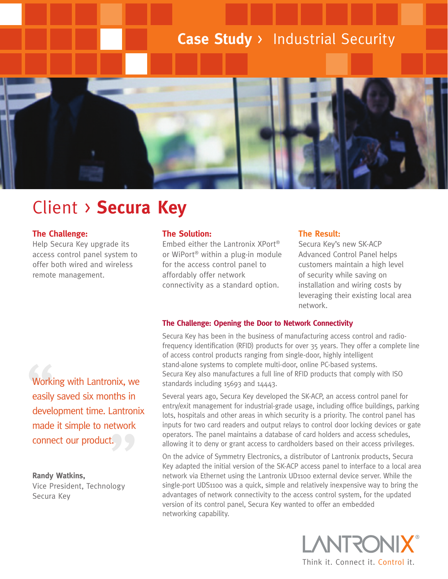## **Case Study** > Industrial Security



# Client > **Secura Key**

## **The Challenge:**

Help Secura Key upgrade its access control panel system to offer both wired and wireless remote management.

## **The Solution:**

Embed either the Lantronix XPort® or WiPort® within a plug-in module for the access control panel to affordably offer network connectivity as a standard option.

## **The Result:**

Secura Key's new SK-ACP Advanced Control Panel helps customers maintain a high level of security while saving on installation and wiring costs by leveraging their existing local area network.

## **The Challenge: Opening the Door to Network Connectivity**

Secura Key has been in the business of manufacturing access control and radiofrequency identification (RFID) products for over 35 years. They offer a complete line of access control products ranging from single-door, highly intelligent stand-alone systems to complete multi-door, online PC-based systems. Secura Key also manufactures a full line of RFID products that comply with ISO standards including 15693 and 14443.

Several years ago, Secura Key developed the SK-ACP, an access control panel for entry/exit management for industrial-grade usage, including office buildings, parking lots, hospitals and other areas in which security is a priority. The control panel has inputs for two card readers and output relays to control door locking devices or gate operators. The panel maintains a database of card holders and access schedules, allowing it to deny or grant access to cardholders based on their access privileges.

On the advice of Symmetry Electronics, a distributor of Lantronix products, Secura Key adapted the initial version of the SK-ACP access panel to interface to a local area network via Ethernet using the Lantronix UD1100 external device server. While the single-port UDS1100 was a quick, simple and relatively inexpensive way to bring the advantages of network connectivity to the access control system, for the updated version of its control panel, Secura Key wanted to offer an embedded networking capability.

> LANTRON Think it. Connect it. Control it.

 $t.$   $\bigcup$ <br>blogy Worki<br>easily<br>develo Working with Lantronix, we easily saved six months in development time. Lantronix made it simple to network connect our product.

#### **Randy Watkins,**

Vice President, Technology Secura Key